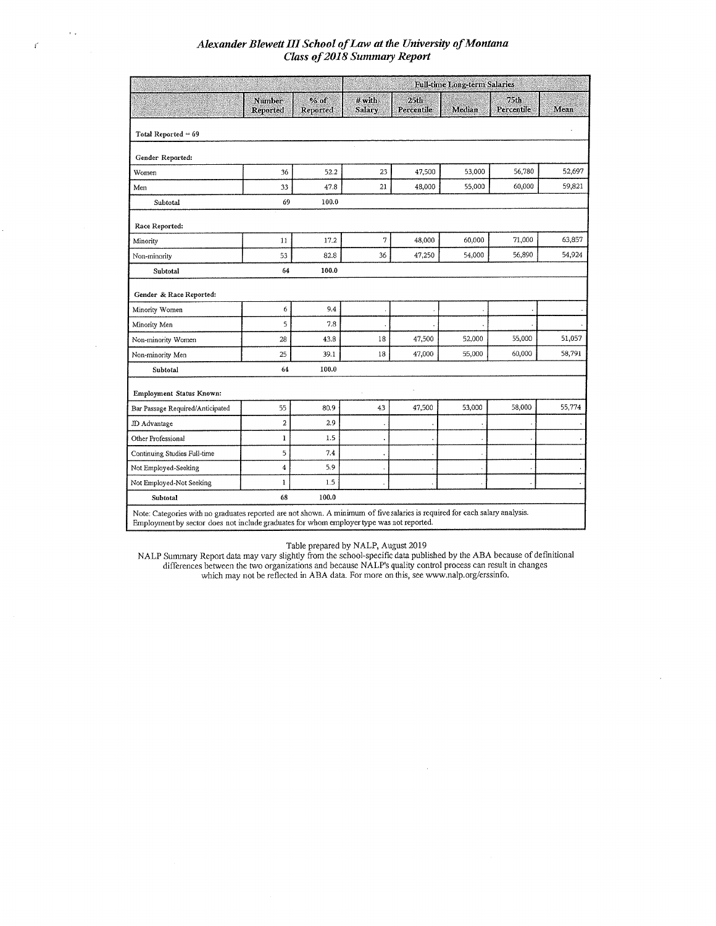$\rightarrow$   $\star$ 

 $\mathcal{E}^{\prime}$ 

|                                  |                    |                  | <b>Full-time Long-term Salaries</b> |                                |        |                    |        |  |
|----------------------------------|--------------------|------------------|-------------------------------------|--------------------------------|--------|--------------------|--------|--|
|                                  | Number<br>Reported | % of<br>Reported | $#$ with<br>Salary                  | 25 <sub>th</sub><br>Percentile | Median | 75th<br>Percentile | Mean   |  |
| Total Reported $= 69$            |                    |                  |                                     |                                |        |                    |        |  |
| Gender Reported:                 |                    |                  |                                     |                                |        |                    |        |  |
| Women                            | 36                 | 52.2             | 23                                  | 47,500                         | 53,000 | 56,780             | 52,697 |  |
| Men                              | 33                 | 47.8             | 21                                  | 48,000                         | 55,000 | 60,000             | 59,821 |  |
| Subtotal                         | 69                 | 100.0            |                                     |                                |        |                    |        |  |
| Race Reported:                   |                    |                  |                                     |                                |        |                    |        |  |
| Minority                         | 11                 | 17.2             | $\overline{7}$                      | 48,000                         | 60,000 | 71,000             | 63,857 |  |
| Non-minority                     | 53                 | 82.8             | 36                                  | 47,250                         | 54,000 | 56,890             | 54,924 |  |
| Subtotal                         | 64                 | 100.0            |                                     |                                |        |                    |        |  |
| Gender & Race Reported:          |                    |                  |                                     |                                |        |                    |        |  |
| Minority Women                   | 6                  | 9.4              |                                     |                                |        |                    |        |  |
| Minority Men                     | 5                  | 7.8              |                                     |                                |        |                    |        |  |
| Non-minority Women               | 28                 | 43.8             | 18                                  | 47,500                         | 52,000 | 55,000             | 51,057 |  |
| Non-minority Men                 | 25                 | 39.1             | 18                                  | 47,000                         | 55,000 | 60,000             | 58,791 |  |
| Subtotal                         | 64                 | 100.0            |                                     |                                |        |                    |        |  |
| Employment Status Known:         |                    |                  |                                     |                                |        |                    |        |  |
| Bar Passage Required/Anticipated | 55                 | 80.9             | 43                                  | 47,500                         | 53,000 | 58,000             | 55,774 |  |
| JD Advantage                     | $\overline{a}$     | 2.9              |                                     |                                |        |                    |        |  |
| Other Professional               | 1                  | 1.5              |                                     |                                |        |                    |        |  |
| Continuing Studies Full-time     | 5                  | 7.4              |                                     |                                |        |                    |        |  |
| Not Employed-Seeking             | 4                  | 5.9              |                                     |                                |        |                    |        |  |
| Not Employed-Not Seeking         | I                  | 1.5              |                                     |                                |        |                    |        |  |
| Subtotal                         | 68                 | 100.0            |                                     |                                |        |                    |        |  |

Table prepared by NALP, August 2019<br>NALP Summary Report data may vary slightly from the school-specific data published by the ABA because of definitional<br>differences between the two organizations and because NALP's quality

 $\bar{z}$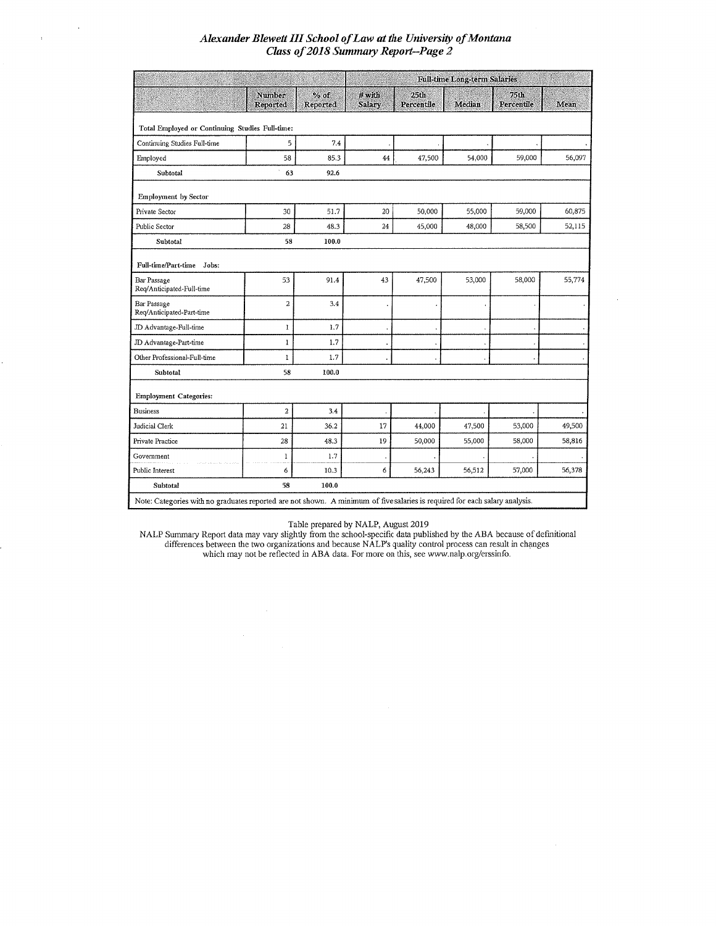|                                                                                                                             |                           |                    | <b>Full-time Long-term Salaries</b> |                    |        |                    |        |  |
|-----------------------------------------------------------------------------------------------------------------------------|---------------------------|--------------------|-------------------------------------|--------------------|--------|--------------------|--------|--|
|                                                                                                                             | <b>Number</b><br>Reported | $%$ of<br>Reported | $#$ with<br><b>Salary</b>           | 25th<br>Percentile | Median | 75th<br>Percentile | Mean   |  |
| Total Employed or Continuing Studies Full-time:                                                                             |                           |                    |                                     |                    |        |                    |        |  |
| Continuing Studies Full-time                                                                                                | 5                         | 7.4                |                                     |                    |        |                    |        |  |
| Employed                                                                                                                    | 58                        | 85.3               | 44                                  | 47,500             | 54,000 | 59,000             | 56,097 |  |
| Subtotal                                                                                                                    | 63                        | 92.6               |                                     |                    |        |                    |        |  |
| <b>Employment</b> by Sector                                                                                                 |                           |                    |                                     |                    |        |                    |        |  |
| Private Sector                                                                                                              | 30                        | 51.7               | 20                                  | 50,000             | 55,000 | 59,000             | 60,875 |  |
| Public Sector                                                                                                               | 28                        | 48.3               | 24                                  | 45,000             | 48,000 | 58,500             | 52,115 |  |
| Subtotal                                                                                                                    | 58                        | 100.0              |                                     |                    |        |                    |        |  |
| Full-time/Part-time<br>Jobs:                                                                                                |                           |                    |                                     |                    |        |                    |        |  |
| <b>Bar Passage</b><br>Req/Anticipated-Full-time                                                                             | 53                        | 91.4               | 43                                  | 47,500             | 53,000 | 58,000             | 55,774 |  |
| Bar Passage<br>Req/Anticipated-Part-time                                                                                    | $\overline{\mathbf{c}}$   | 3.4                |                                     |                    |        |                    |        |  |
| JD Advantage-Full-time                                                                                                      | ı                         | 1.7                |                                     |                    |        |                    |        |  |
| JD Advantage-Part-time                                                                                                      | 1                         | 1.7                |                                     |                    |        |                    |        |  |
| Other Professional-Full-time                                                                                                | I                         | 1.7                |                                     |                    |        |                    |        |  |
| Subtotal                                                                                                                    | 58                        | 100.0              |                                     |                    |        |                    |        |  |
| <b>Employment Categories:</b>                                                                                               |                           |                    |                                     |                    |        |                    |        |  |
| <b>Business</b>                                                                                                             | $\overline{a}$            | 3.4                |                                     |                    |        |                    |        |  |
| Judicial Clerk                                                                                                              | 21                        | 36.2               | 17                                  | 44,000             | 47,500 | 53,000             | 49,500 |  |
| Private Practice                                                                                                            | 28                        | 48.3               | 19                                  | 50,000             | 55,000 | 58,000             | 58,816 |  |
| Government                                                                                                                  | 1                         | 1.7                |                                     |                    |        |                    |        |  |
| Public Interest                                                                                                             | 6                         | 10.3               | 6                                   | 56,243             | 56,512 | 57,000             | 56,378 |  |
| Subtotal                                                                                                                    | 58                        | 100.0              |                                     |                    |        |                    |        |  |
| Note: Categories with no graduates reported are not shown. A minimum of five salaries is required for each salary analysis. |                           |                    |                                     |                    |        |                    |        |  |

Table prepared by NALP, August 2019<br>NALP Summary Report data may vary slightly from the school-specific data published by the ABA because of definitional<br>differences between the two organizations and because NALP's quality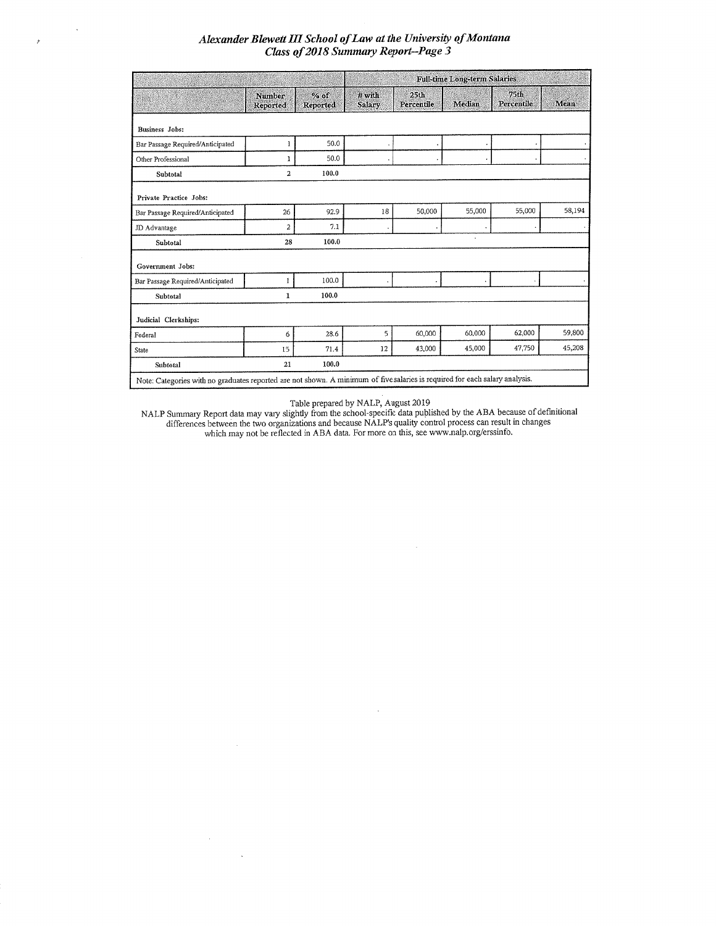$\bar{\Delta}$ 

 $\bar{\ell}$ 

|                                                                                                                             |                           |                    | <b>Full-time Long-term Salaries</b> |                                |                      |                    |        |
|-----------------------------------------------------------------------------------------------------------------------------|---------------------------|--------------------|-------------------------------------|--------------------------------|----------------------|--------------------|--------|
|                                                                                                                             | <b>Number</b><br>Reported | $%$ of<br>Reported | # with<br>Salary                    | 25 <sub>th</sub><br>Percentile | Median               | 75th<br>Percentile | Mean   |
| <b>Business Jobs:</b>                                                                                                       |                           |                    |                                     |                                |                      |                    |        |
| Bar Passage Required/Anticipated                                                                                            | 1                         | 50.0               |                                     |                                |                      |                    |        |
| Other Professional                                                                                                          | 1                         | 50.0               |                                     |                                |                      |                    |        |
| Subtotal                                                                                                                    | $\overline{a}$            | 100.0              |                                     |                                |                      |                    |        |
| Private Practice Jobs:                                                                                                      |                           |                    |                                     |                                |                      |                    |        |
| Bar Passage Required/Anticipated                                                                                            | 26                        | 92.9               | 18                                  | 50,000                         | 55,000               | 55,000             | 58,194 |
| JD Advantage                                                                                                                | 2                         | 7.1                |                                     |                                |                      |                    |        |
| Subtotal                                                                                                                    | 28                        | 100.0              |                                     |                                | $\ddot{\phantom{a}}$ |                    |        |
| Government Jobs:                                                                                                            |                           |                    |                                     |                                |                      |                    |        |
| Bar Passage Required/Anticipated                                                                                            | 1                         | 100.0              |                                     |                                |                      |                    |        |
| Subtotal                                                                                                                    | 1                         | 100.0              |                                     |                                |                      |                    |        |
| Judicial Clerkships:                                                                                                        |                           |                    |                                     |                                |                      |                    |        |
| Federal                                                                                                                     | 6                         | 28.6               | 5                                   | 60,000                         | 60,000               | 62,000             | 59,800 |
| State                                                                                                                       | 15                        | 71.4               | 12                                  | 43,000                         | 45,000               | 47,750             | 45,208 |
| Subtotal                                                                                                                    | 21                        | 100.0              |                                     |                                |                      |                    |        |
| Note: Categories with no graduates reported are not shown. A minimum of five salaries is required for each salary analysis. |                           |                    |                                     |                                |                      |                    |        |

Table prepared by NALP, August 2019<br>MALP Summary Report data may vary slightly from the school-specific data published by the ABA because of definitional<br>differences between the two organizations and because NALP's quality

 $\sim$ 

 $\mathcal{L}^{\mathcal{L}}$ 

 $\mathcal{A}^{\mathcal{A}}$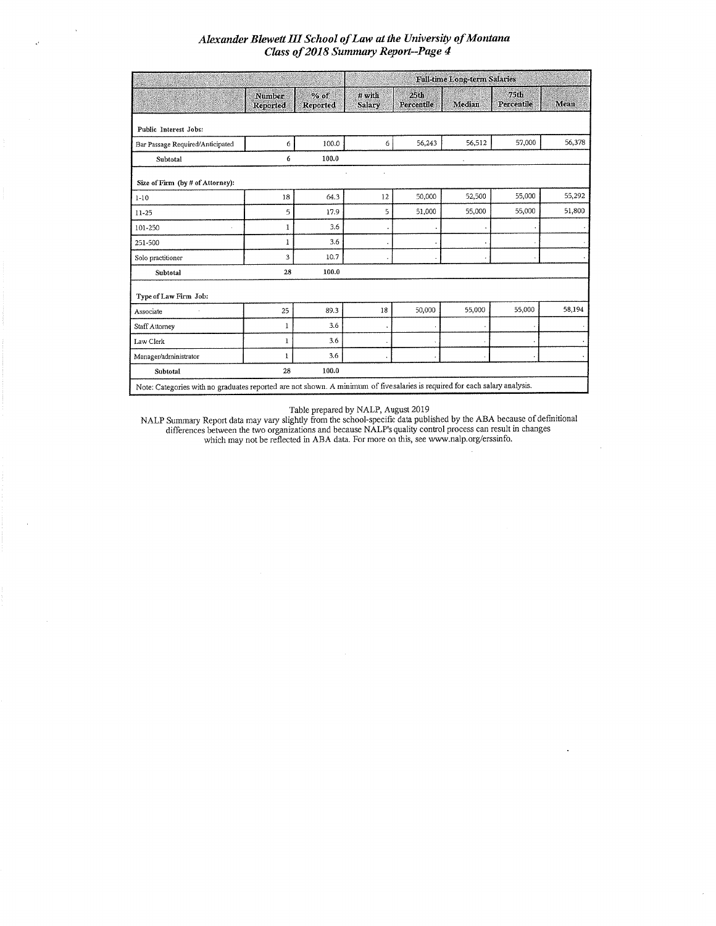$\bar{\lambda}$ 

 $\epsilon^{\prime}$ 

|                                                                                                                             |                    |                    | <b>Full-time Long-term Salaries</b> |                    |        |                    |        |  |  |
|-----------------------------------------------------------------------------------------------------------------------------|--------------------|--------------------|-------------------------------------|--------------------|--------|--------------------|--------|--|--|
|                                                                                                                             | Number<br>Reported | $%$ of<br>Reported | $#$ with<br>Salary                  | 25th<br>Percentile | Median | 75th<br>Percentile | Mean   |  |  |
| Public Interest Jobs:                                                                                                       |                    |                    |                                     |                    |        |                    |        |  |  |
| Bar Passage Required/Anticipated                                                                                            | 6                  | 100.0              | 6                                   | 56,243             | 56,512 | 57,000             | 56,378 |  |  |
| Subtotal                                                                                                                    | 6                  | 100.0              |                                     |                    |        |                    |        |  |  |
| Size of Firm (by # of Attorney):                                                                                            |                    |                    |                                     |                    |        |                    |        |  |  |
| $1 - 10$                                                                                                                    | 18                 | 64.3               | 12                                  | 50,000             | 52,500 | 55,000             | 55,292 |  |  |
| $11 - 25$                                                                                                                   | 5                  | 17.9               | 5                                   | 51,000             | 55,000 | 55,000             | 51,800 |  |  |
| 101-250<br>×.                                                                                                               | 1                  | 3.6                |                                     |                    |        |                    |        |  |  |
| 251-500                                                                                                                     | 1                  | 3.6                |                                     |                    |        |                    |        |  |  |
| Solo practitioner                                                                                                           | 3                  | 10.7               |                                     |                    |        |                    |        |  |  |
| Subtotal                                                                                                                    | 28                 | 100.0              |                                     |                    |        |                    |        |  |  |
| Type of Law Firm Job:                                                                                                       |                    |                    |                                     |                    |        |                    |        |  |  |
| Associate                                                                                                                   | 25                 | 89.3               | 18                                  | 50,000             | 55,000 | 55,000             | 58,194 |  |  |
| Staff Attorney                                                                                                              | 1                  | 3.6                |                                     |                    |        |                    |        |  |  |
| Law Clerk                                                                                                                   | 1                  | 3.6                |                                     |                    |        |                    |        |  |  |
| Manager/administrator                                                                                                       | 1                  | 3.6                |                                     |                    |        |                    |        |  |  |
| Subtotal                                                                                                                    | 28                 | 100.0              |                                     |                    |        |                    |        |  |  |
| Note: Categories with no graduates reported are not shown. A minimum of five salaries is required for each salary analysis. |                    |                    |                                     |                    |        |                    |        |  |  |

Table prepared by NALP, August 2019<br>MALP Summary Report data may vary slightly from the school-specific data published by the ABA because of definitional<br>differences between the two organizations and because NALP's quality

 $\bar{z}$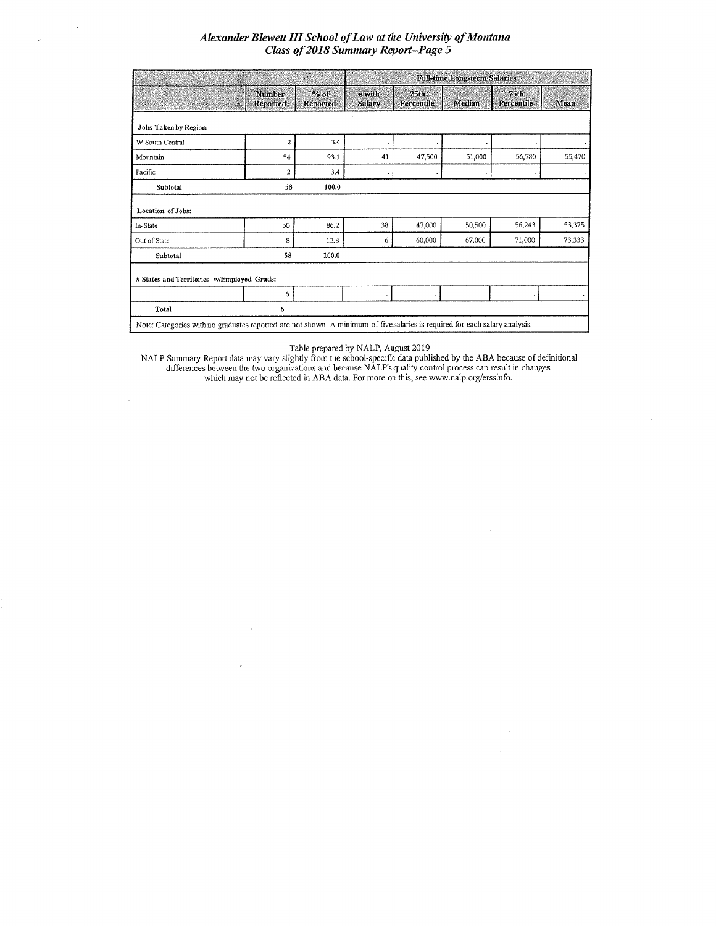|                                            |                           |                    |                    |                                | <b>Full-time Long-term Salaries</b> |                                |        |  |  |  |
|--------------------------------------------|---------------------------|--------------------|--------------------|--------------------------------|-------------------------------------|--------------------------------|--------|--|--|--|
|                                            | Number<br><b>Reported</b> | $%$ of<br>Reported | $#$ with<br>Salary | 25 <sub>th</sub><br>Percentile | Median                              | 75 <sub>th</sub><br>Percentile | Mean   |  |  |  |
| Jobs Taken by Region:                      |                           |                    |                    |                                |                                     |                                |        |  |  |  |
| W South Central                            | $\overline{a}$            | 3.4                |                    |                                |                                     |                                |        |  |  |  |
| Mountain                                   | 54                        | 93.1               | 41                 | 47,500                         | 51,000                              | 56,780                         | 55,470 |  |  |  |
| Pacific                                    | $\overline{a}$            | 3.4                |                    |                                |                                     |                                |        |  |  |  |
| Subtotal                                   | 58                        | 100.0              |                    |                                |                                     |                                |        |  |  |  |
| Location of Jobs:                          |                           |                    |                    |                                |                                     |                                |        |  |  |  |
| In-State                                   | 50                        | 86.2               | 38                 | 47,000                         | 50,500                              | 56,243                         | 53,375 |  |  |  |
| Out of State                               | 8                         | 13.8               | 6                  | 60,000                         | 67,000                              | 71,000                         | 73,333 |  |  |  |
| Subtotal                                   | 58                        | 100.0              |                    |                                |                                     |                                |        |  |  |  |
| # States and Territories w/Employed Grads: |                           |                    |                    |                                |                                     |                                |        |  |  |  |
|                                            | 6                         |                    |                    |                                |                                     |                                |        |  |  |  |
|                                            |                           |                    |                    |                                |                                     |                                |        |  |  |  |

Table prepared by NALP, August 2019<br>NALP Summary Report data may vary slightly from the school-specific data published by the ABA because of definitional<br>differences between the two organizations and because NALP's quality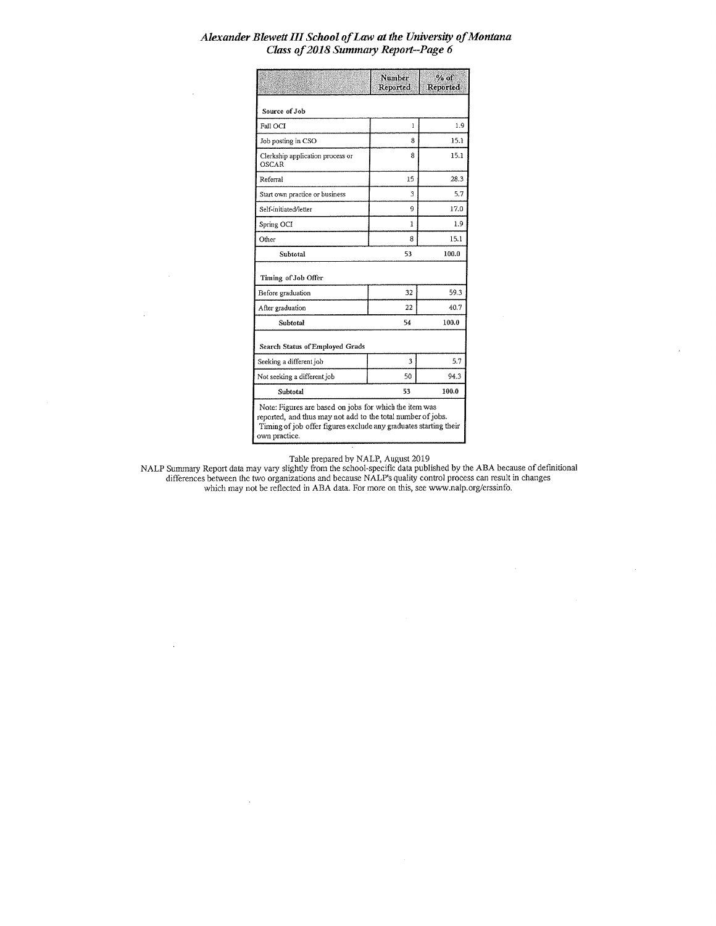|                                                                                                                                                                                                            | Number<br>Reported | $%$ of<br>Reported |  |  |  |
|------------------------------------------------------------------------------------------------------------------------------------------------------------------------------------------------------------|--------------------|--------------------|--|--|--|
| Source of Job                                                                                                                                                                                              |                    |                    |  |  |  |
| Fall OCI                                                                                                                                                                                                   | $\mathbf{I}$       | 1.9                |  |  |  |
| Job posting in CSO                                                                                                                                                                                         | 8                  | 15.1               |  |  |  |
| Clerkship application process or<br>OSCAR                                                                                                                                                                  | 8                  | 15.1               |  |  |  |
| Referral                                                                                                                                                                                                   | 15                 | 28.3               |  |  |  |
| Start own practice or business                                                                                                                                                                             | 3                  | 5.7                |  |  |  |
| Self-initiated/letter                                                                                                                                                                                      | 9                  | 17.0               |  |  |  |
| Spring OCI                                                                                                                                                                                                 | 1                  | 1.9                |  |  |  |
| Other                                                                                                                                                                                                      | 8                  | 15.1               |  |  |  |
| Subtotal                                                                                                                                                                                                   | 53                 | 100.0              |  |  |  |
| Timing of Job Offer                                                                                                                                                                                        |                    |                    |  |  |  |
| Before graduation                                                                                                                                                                                          | 32                 | 59.3               |  |  |  |
| After graduation                                                                                                                                                                                           | 22                 | 40.7               |  |  |  |
| Subtotal                                                                                                                                                                                                   | 54                 | 100.0              |  |  |  |
| <b>Search Status of Employed Grads</b>                                                                                                                                                                     |                    |                    |  |  |  |
| Seeking a different job                                                                                                                                                                                    | 3                  | 5.7                |  |  |  |
| Not seeking a different job                                                                                                                                                                                | 50                 | 94.3               |  |  |  |
| Subtotal                                                                                                                                                                                                   | 53                 | 100.0              |  |  |  |
| Note: Figures are based on jobs for which the item was<br>reported, and thus may not add to the total number of jobs.<br>Timing of job offer figures exclude any graduates starting their<br>own practice. |                    |                    |  |  |  |

Table prepared by NALP, August 2019<br>MALP Summary Report data may vary slightly from the school-specific data published by the ABA because of definitional<br>differences between the two organizations and because NALP's quality

 $\bar{z}$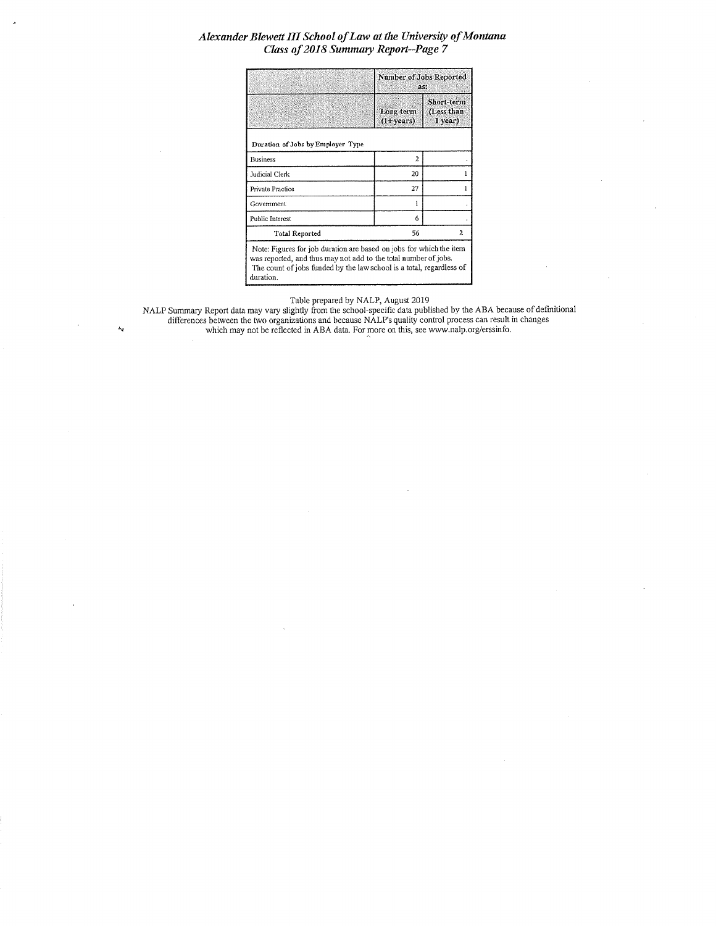|                                                                                                                                                                                                                | Number of Jobs Reported<br>as:    |                                       |  |  |  |
|----------------------------------------------------------------------------------------------------------------------------------------------------------------------------------------------------------------|-----------------------------------|---------------------------------------|--|--|--|
|                                                                                                                                                                                                                | Long-term<br>$(1 + \text{years})$ | Short-term<br>(Less than<br>$1$ year) |  |  |  |
| Duration of Jobs by Employer Type                                                                                                                                                                              |                                   |                                       |  |  |  |
| Business                                                                                                                                                                                                       | $\overline{a}$                    |                                       |  |  |  |
| Judicial Clerk                                                                                                                                                                                                 | 20                                |                                       |  |  |  |
| Private Practice                                                                                                                                                                                               | 27                                |                                       |  |  |  |
| Government                                                                                                                                                                                                     |                                   |                                       |  |  |  |
| Public Interest                                                                                                                                                                                                | 6                                 |                                       |  |  |  |
| <b>Total Reported</b>                                                                                                                                                                                          | 56                                | 2                                     |  |  |  |
| Note: Figures for job duration are based on jobs for which the item<br>was reported, and thus may not add to the total number of jobs.<br>The count of jobs funded by the law school is a total, regardless of |                                   |                                       |  |  |  |

Table prepared by NALP, August 2019<br>NALP Summary Report data may vary slightly from the school-specific data published by the ABA because of definitional<br>differences between the two organizations and because NALP's quality

duration.

 $\lambda_{\rm V}$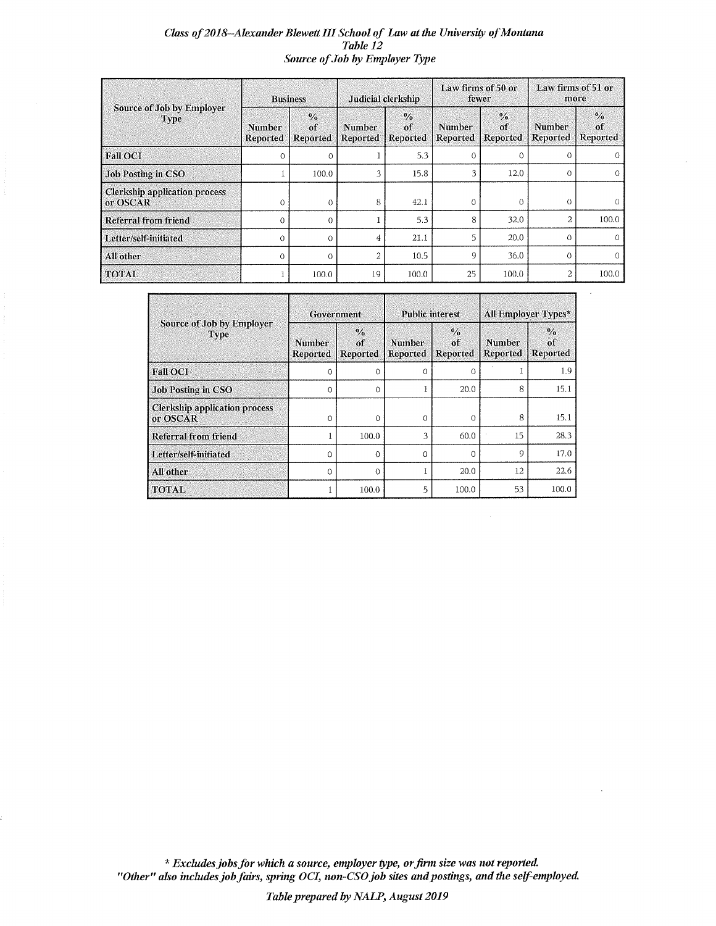## Class of 2018--Alexander Blewett III School of Law at the University of Montana Table 12 Source of Job by Employer Type

|                                                  | <b>Business</b>           |                                                | Judicial clerkship |                                 | Law firms of 50 or<br>fewer |                                 | Law firms of 51 or<br>more       |                                 |
|--------------------------------------------------|---------------------------|------------------------------------------------|--------------------|---------------------------------|-----------------------------|---------------------------------|----------------------------------|---------------------------------|
| Source of Job by Employer<br>Type                | <b>Number</b><br>Reported | $\frac{0}{2}$<br>$\alpha$ f<br><b>Reported</b> | Number<br>Reported | $\frac{0}{2}$<br>of<br>Reported | Number<br>Reported          | $\frac{0}{2}$<br>of<br>Reported | <b>Number</b><br><b>Reported</b> | $\frac{0}{0}$<br>of<br>Reported |
| <b>Fall OCI</b>                                  | ∩                         | $\Omega$                                       |                    | 5.3                             | $\Omega$                    | $\Omega$                        | $\Omega$                         |                                 |
| <b>Job Posting in CSO</b>                        |                           | 100.0                                          | 3                  | 15.8                            | 3                           | 12.0                            | $\Omega$                         |                                 |
| <b>Clerkship application process</b><br>or OSCAR | 0                         | $\Omega$                                       | 8                  | 42.1                            | 0                           | $\Omega$                        | O                                |                                 |
| Referral from friend                             | $\Omega$                  | $\Omega$                                       |                    | 5.3                             | 8                           | 32.0                            | $\overline{2}$                   | 100.0                           |
| Letter/self-initiated                            | $\Omega$                  | $\Omega$                                       | 4                  | 21.1                            | 5                           | 20.0                            | $\Omega$                         |                                 |
| All other                                        | $\Omega$                  | 0                                              | $\overline{c}$     | 10.5                            | g                           | 36.0                            | $\Omega$                         |                                 |
| <b>TOTAL</b>                                     |                           | 100.0                                          | 19                 | 100.0                           | 25                          | 100.0                           | 2                                | 100.0                           |

|                                                  | Government                |                                 |                           | <b>Public interest</b>                  | All Employer Types* |                                        |  |
|--------------------------------------------------|---------------------------|---------------------------------|---------------------------|-----------------------------------------|---------------------|----------------------------------------|--|
| Source of Job by Employer<br>Type                | <b>Number</b><br>Reported | $\frac{0}{0}$<br>of<br>Reported | <b>Number</b><br>Reported | $\frac{0}{0}$<br>$\alpha$ f<br>Reported | Number<br>Reported  | $\frac{0}{2}$<br>of<br><b>Reported</b> |  |
| <b>Fall OCI</b>                                  | $\Omega$                  | $\Omega$                        | $\Omega$                  | $\Omega$                                |                     | 1.9                                    |  |
| <b>Job Posting in CSO</b>                        | $\Omega$                  | $\Omega$                        |                           | 20.0                                    | 8                   | 15.1                                   |  |
| <b>Clerkship application process</b><br>or OSCAR | $\Omega$                  | $\Omega$                        | 0                         | $\Omega$                                | 8                   | 15.1                                   |  |
| <b>Referral from friend</b>                      |                           | 100.0                           | 3                         | 60.0                                    | 15                  | 28.3                                   |  |
| Letter/self-initiated                            | $\Omega$                  | $\Omega$                        | $\Omega$                  | $\Omega$                                | 9                   | 17.0                                   |  |
| All other                                        | $\Omega$                  | ∩                               |                           | 20.0                                    | 12                  | 22.6                                   |  |
| <b>TOTAL</b>                                     |                           | 100.0                           | 5                         | 100.0                                   | 53                  | 100.0                                  |  |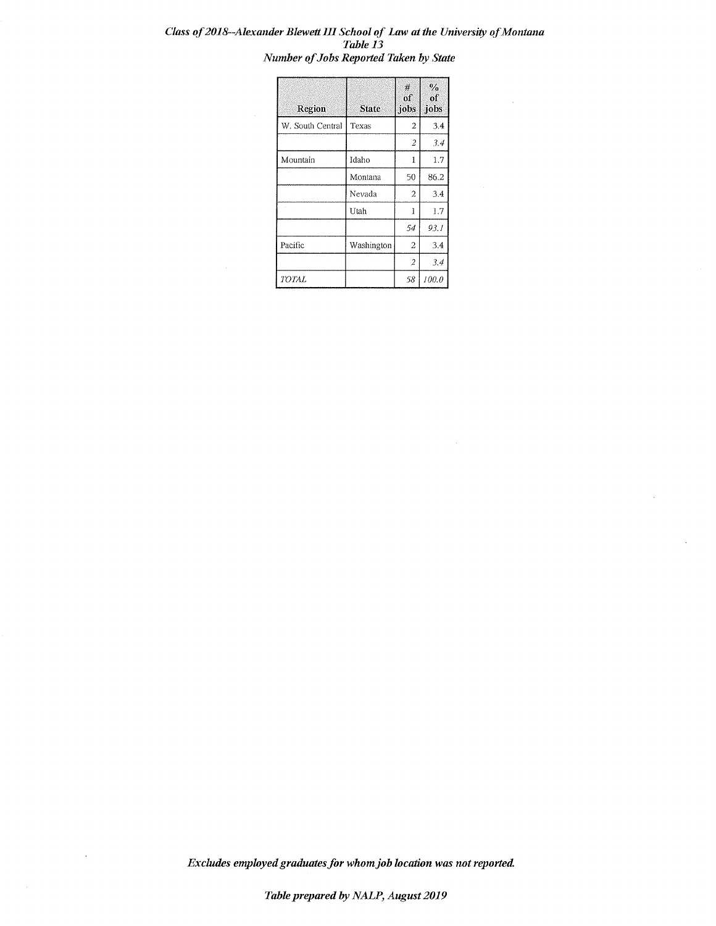### Class of 2018--Alexander Blewett III School of Law at the University of Montana Table 13 Number of Jobs Reported Taken by State

| Region           | <b>State</b> | #<br>$\sigma$<br>jobs | $\frac{0}{6}$<br>of<br>jobs |
|------------------|--------------|-----------------------|-----------------------------|
| W. South Central | Texas        | 2                     | 3.4                         |
|                  |              | $\overline{c}$        | 3.4                         |
| Mountain         | Idaho        | 1                     | 1.7                         |
|                  | Montana      | 50                    | 86.2                        |
|                  | Nevada       | 2                     | 3.4                         |
|                  | Utah         | 1                     | 1.7                         |
|                  |              | 54                    | 93.1                        |
| Pacific          | Washington   | 2                     | 3.4                         |
|                  |              | 2                     | 3.4                         |
| TOTAL            |              | 58                    | 100.0                       |

 $\bar{\beta}$ 

Excludes employed graduates for whom job location was not reported.

 $\sim$   $\sim$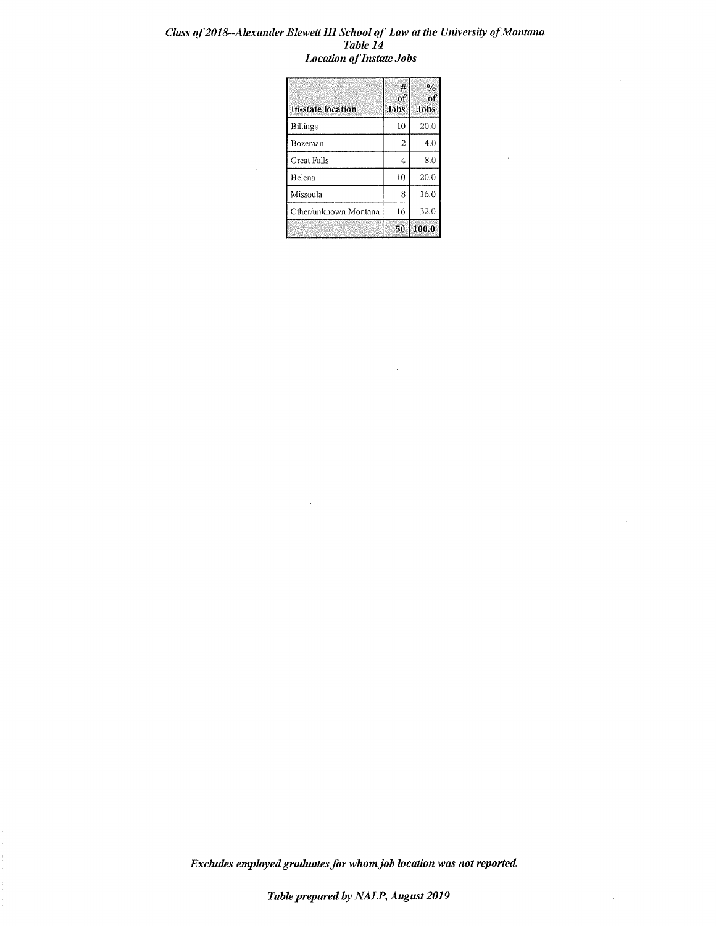## Class of 2018-Alexander Blewett III School of Law at the University of Montana Table 14 **Location of Instate Jobs**

| <b>In-state location</b> | #<br>of<br><b>Jobs</b> | $\mathcal{O}/\mathcal{O}$<br>of<br>Jobs |
|--------------------------|------------------------|-----------------------------------------|
| <b>Billings</b>          | 10                     | 20.0                                    |
| Bozeman                  | $\overline{a}$         | 4.0                                     |
| Great Falls              | 4                      | 8.0                                     |
| Helena                   | 10                     | 20.0                                    |
| Missoula                 | 8                      | 16.0                                    |
| Other/unknown Montana    | 16                     | 32.0                                    |
|                          | 50                     | 100.0                                   |

 $\bar{z}$ 

 $\label{eq:2} \frac{1}{\sqrt{2}}\sum_{i=1}^n\frac{1}{\sqrt{2}}\sum_{j=1}^n\frac{1}{j!}\sum_{j=1}^n\frac{1}{j!}\sum_{j=1}^n\frac{1}{j!}\sum_{j=1}^n\frac{1}{j!}\sum_{j=1}^n\frac{1}{j!}\sum_{j=1}^n\frac{1}{j!}\sum_{j=1}^n\frac{1}{j!}\sum_{j=1}^n\frac{1}{j!}\sum_{j=1}^n\frac{1}{j!}\sum_{j=1}^n\frac{1}{j!}\sum_{j=1}^n\frac{1}{j!}\sum_{j=1}^$ 

Excludes employed graduates for whom job location was not reported.